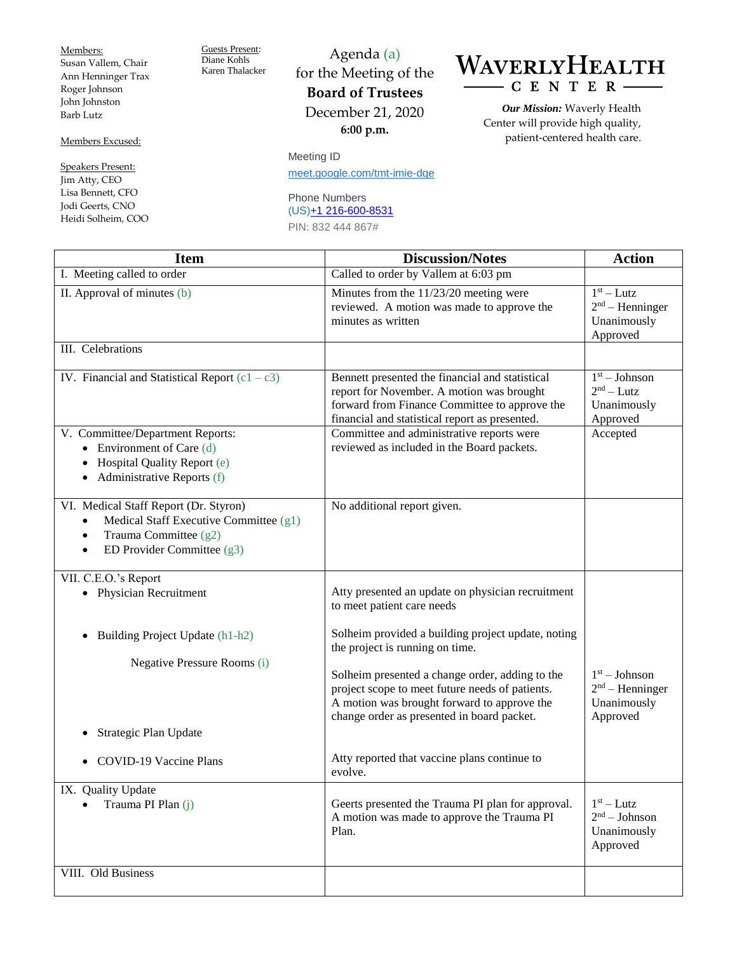Members: Susan Vallem, Chair Ann Henninger Trax Roger Johnson John Johnston Barb Lutz

Members Excused:

Speakers Present: Jim Atty, CEO Lisa Bennett, CFO Jodi Geerts, CNO Heidi Solheim, COO Guests Present: Diane Kohls Karen Thalacker

for the Meeting of the **Board of Trustees** December 21, 2020 **6:00 p.m.**

Agenda (a)

Meeting ID [meet.google.com/tmt-imie-dqe](https://meet.google.com/tmt-imie-dqe?hs=122&authuser=0)

## Phone Numbers (US[\)+1 216-600-8531](tel:%E2%80%AA+1%20216-600-8531%E2%80%AC) PIN: 832 444 867#

WAVERLYHEALTH  $-C E N T E R -$ 

> *Our Mission:* Waverly Health Center will provide high quality, patient-centered health care.

| <b>Item</b>                                                                                                                                                                   | <b>Discussion/Notes</b>                                                                                                                                                                         | <b>Action</b>                                                   |
|-------------------------------------------------------------------------------------------------------------------------------------------------------------------------------|-------------------------------------------------------------------------------------------------------------------------------------------------------------------------------------------------|-----------------------------------------------------------------|
| I. Meeting called to order                                                                                                                                                    | Called to order by Vallem at 6:03 pm                                                                                                                                                            |                                                                 |
| II. Approval of minutes (b)                                                                                                                                                   | Minutes from the 11/23/20 meeting were<br>reviewed. A motion was made to approve the<br>minutes as written                                                                                      | $1st - Lutz$<br>$2nd$ – Henninger<br>Unanimously<br>Approved    |
| III. Celebrations                                                                                                                                                             |                                                                                                                                                                                                 |                                                                 |
| IV. Financial and Statistical Report $(c1 - c3)$                                                                                                                              | Bennett presented the financial and statistical<br>report for November. A motion was brought<br>forward from Finance Committee to approve the<br>financial and statistical report as presented. | $1st - Johnson$<br>$2nd - Lutz$<br>Unanimously<br>Approved      |
| V. Committee/Department Reports:<br>• Environment of Care $(d)$<br>Hospital Quality Report (e)<br>$\bullet$ Administrative Reports (f)                                        | Committee and administrative reports were<br>reviewed as included in the Board packets.                                                                                                         | Accepted                                                        |
| VI. Medical Staff Report (Dr. Styron)<br>Medical Staff Executive Committee (g1)<br>$\bullet$<br>Trauma Committee (g2)<br>$\bullet$<br>ED Provider Committee (g3)<br>$\bullet$ | No additional report given.                                                                                                                                                                     |                                                                 |
| VII. C.E.O.'s Report                                                                                                                                                          |                                                                                                                                                                                                 |                                                                 |
| • Physician Recruitment                                                                                                                                                       | Atty presented an update on physician recruitment<br>to meet patient care needs                                                                                                                 |                                                                 |
| Building Project Update (h1-h2)<br>$\bullet$                                                                                                                                  | Solheim provided a building project update, noting<br>the project is running on time.                                                                                                           |                                                                 |
| Negative Pressure Rooms (i)                                                                                                                                                   | Solheim presented a change order, adding to the<br>project scope to meet future needs of patients.<br>A motion was brought forward to approve the<br>change order as presented in board packet. | $1st - Johnson$<br>$2nd$ – Henninger<br>Unanimously<br>Approved |
| Strategic Plan Update                                                                                                                                                         |                                                                                                                                                                                                 |                                                                 |
| COVID-19 Vaccine Plans                                                                                                                                                        | Atty reported that vaccine plans continue to<br>evolve.                                                                                                                                         |                                                                 |
| IX. Quality Update<br>Trauma PI Plan (j)                                                                                                                                      | Geerts presented the Trauma PI plan for approval.<br>A motion was made to approve the Trauma PI<br>Plan.                                                                                        | $1st - Lutz$<br>$2nd - Johnson$<br>Unanimously<br>Approved      |
| VIII. Old Business                                                                                                                                                            |                                                                                                                                                                                                 |                                                                 |